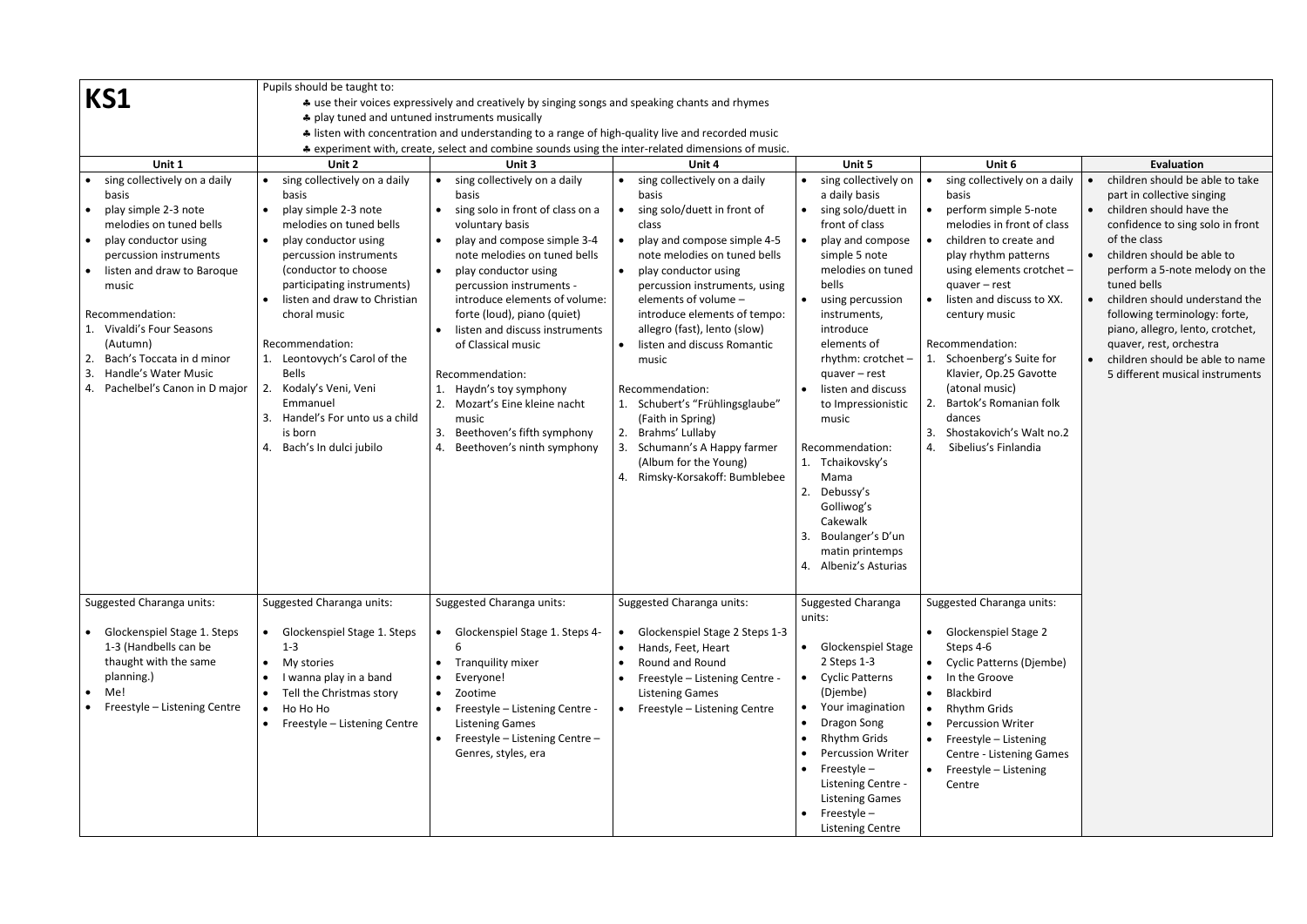|                                                                                                                                                                                                                                                                                                                                         | Pupils should be taught to:                                                                                                                                                                                                                                                                                                                                                                                                          |                                                                                                                                                                                                                                                                                                                                                                                                                                                                                         |                                                                                                                                                                                                                                                                                                                                                                                                                                                                                                                                   |                                                                                                                                                                                                                                                                                                                                                                                                                                                                           |                                                                                                                                                                                                                                                                                                                                                                                                                                     |                                                                                                                                                                                                                                                                                                                                                                                                                                      |  |  |  |  |  |
|-----------------------------------------------------------------------------------------------------------------------------------------------------------------------------------------------------------------------------------------------------------------------------------------------------------------------------------------|--------------------------------------------------------------------------------------------------------------------------------------------------------------------------------------------------------------------------------------------------------------------------------------------------------------------------------------------------------------------------------------------------------------------------------------|-----------------------------------------------------------------------------------------------------------------------------------------------------------------------------------------------------------------------------------------------------------------------------------------------------------------------------------------------------------------------------------------------------------------------------------------------------------------------------------------|-----------------------------------------------------------------------------------------------------------------------------------------------------------------------------------------------------------------------------------------------------------------------------------------------------------------------------------------------------------------------------------------------------------------------------------------------------------------------------------------------------------------------------------|---------------------------------------------------------------------------------------------------------------------------------------------------------------------------------------------------------------------------------------------------------------------------------------------------------------------------------------------------------------------------------------------------------------------------------------------------------------------------|-------------------------------------------------------------------------------------------------------------------------------------------------------------------------------------------------------------------------------------------------------------------------------------------------------------------------------------------------------------------------------------------------------------------------------------|--------------------------------------------------------------------------------------------------------------------------------------------------------------------------------------------------------------------------------------------------------------------------------------------------------------------------------------------------------------------------------------------------------------------------------------|--|--|--|--|--|
| KS1                                                                                                                                                                                                                                                                                                                                     |                                                                                                                                                                                                                                                                                                                                                                                                                                      | * use their voices expressively and creatively by singing songs and speaking chants and rhymes                                                                                                                                                                                                                                                                                                                                                                                          |                                                                                                                                                                                                                                                                                                                                                                                                                                                                                                                                   |                                                                                                                                                                                                                                                                                                                                                                                                                                                                           |                                                                                                                                                                                                                                                                                                                                                                                                                                     |                                                                                                                                                                                                                                                                                                                                                                                                                                      |  |  |  |  |  |
|                                                                                                                                                                                                                                                                                                                                         | ♣ play tuned and untuned instruments musically                                                                                                                                                                                                                                                                                                                                                                                       |                                                                                                                                                                                                                                                                                                                                                                                                                                                                                         |                                                                                                                                                                                                                                                                                                                                                                                                                                                                                                                                   |                                                                                                                                                                                                                                                                                                                                                                                                                                                                           |                                                                                                                                                                                                                                                                                                                                                                                                                                     |                                                                                                                                                                                                                                                                                                                                                                                                                                      |  |  |  |  |  |
|                                                                                                                                                                                                                                                                                                                                         | A listen with concentration and understanding to a range of high-quality live and recorded music                                                                                                                                                                                                                                                                                                                                     |                                                                                                                                                                                                                                                                                                                                                                                                                                                                                         |                                                                                                                                                                                                                                                                                                                                                                                                                                                                                                                                   |                                                                                                                                                                                                                                                                                                                                                                                                                                                                           |                                                                                                                                                                                                                                                                                                                                                                                                                                     |                                                                                                                                                                                                                                                                                                                                                                                                                                      |  |  |  |  |  |
| * experiment with, create, select and combine sounds using the inter-related dimensions of music.                                                                                                                                                                                                                                       |                                                                                                                                                                                                                                                                                                                                                                                                                                      |                                                                                                                                                                                                                                                                                                                                                                                                                                                                                         |                                                                                                                                                                                                                                                                                                                                                                                                                                                                                                                                   |                                                                                                                                                                                                                                                                                                                                                                                                                                                                           |                                                                                                                                                                                                                                                                                                                                                                                                                                     |                                                                                                                                                                                                                                                                                                                                                                                                                                      |  |  |  |  |  |
| Unit 1                                                                                                                                                                                                                                                                                                                                  | Unit 2                                                                                                                                                                                                                                                                                                                                                                                                                               | Unit 3                                                                                                                                                                                                                                                                                                                                                                                                                                                                                  | Unit 4                                                                                                                                                                                                                                                                                                                                                                                                                                                                                                                            | Unit 5                                                                                                                                                                                                                                                                                                                                                                                                                                                                    | Unit 6                                                                                                                                                                                                                                                                                                                                                                                                                              | <b>Evaluation</b>                                                                                                                                                                                                                                                                                                                                                                                                                    |  |  |  |  |  |
| sing collectively on a daily<br>basis<br>play simple 2-3 note<br>melodies on tuned bells<br>play conductor using<br>percussion instruments<br>listen and draw to Baroque<br>music<br>Recommendation:<br>Vivaldi's Four Seasons<br>(Autumn)<br>Bach's Toccata in d minor<br>3<br>Handle's Water Music<br>4. Pachelbel's Canon in D major | sing collectively on a daily<br>basis<br>play simple 2-3 note<br>melodies on tuned bells<br>play conductor using<br>percussion instruments<br>(conductor to choose<br>participating instruments)<br>listen and draw to Christian<br>choral music<br>Recommendation:<br>1. Leontovych's Carol of the<br><b>Bells</b><br>Kodaly's Veni, Veni<br>2.<br>Emmanuel<br>Handel's For unto us a child<br>is born<br>4. Bach's In dulci jubilo | • sing collectively on a daily<br>basis<br>sing solo in front of class on a<br>voluntary basis<br>play and compose simple 3-4<br>note melodies on tuned bells<br>play conductor using<br>percussion instruments -<br>introduce elements of volume:<br>forte (loud), piano (quiet)<br>listen and discuss instruments<br>of Classical music<br>Recommendation:<br>Haydn's toy symphony<br>Mozart's Eine kleine nacht<br>music<br>Beethoven's fifth symphony<br>Beethoven's ninth symphony | sing collectively on a daily<br>basis<br>sing solo/duett in front of<br>class<br>play and compose simple 4-5<br>note melodies on tuned bells<br>play conductor using<br>percussion instruments, using<br>elements of volume -<br>introduce elements of tempo:<br>allegro (fast), lento (slow)<br>listen and discuss Romantic<br>music<br>Recommendation:<br>1. Schubert's "Frühlingsglaube"<br>(Faith in Spring)<br>2. Brahms' Lullaby<br>3. Schumann's A Happy farmer<br>(Album for the Young)<br>4. Rimsky-Korsakoff: Bumblebee | sing collectively on<br>a daily basis<br>sing solo/duett in<br>front of class<br>play and compose<br>simple 5 note<br>melodies on tuned<br>bells<br>using percussion<br>instruments,<br>introduce<br>elements of<br>rhythm: $crotchet -$<br>$quaver - rest$<br>listen and discuss<br>to Impressionistic<br>music<br>Recommendation:<br>Tchaikovsky's<br>Mama<br>Debussy's<br>2.<br>Golliwog's<br>Cakewalk<br>Boulanger's D'un<br>matin printemps<br>4. Albeniz's Asturias | sing collectively on a daily<br>basis<br>perform simple 5-note<br>melodies in front of class<br>children to create and<br>play rhythm patterns<br>using elements crotchet -<br>$quaver - rest$<br>listen and discuss to XX.<br>century music<br>Recommendation:<br>Schoenberg's Suite for<br>Klavier, Op.25 Gavotte<br>(atonal music)<br>Bartok's Romanian folk<br>dances<br>Shostakovich's Walt no.2<br>3.<br>Sibelius's Finlandia | children should be able to take<br>part in collective singing<br>children should have the<br>confidence to sing solo in front<br>of the class<br>children should be able to<br>perform a 5-note melody on the<br>tuned bells<br>children should understand the<br>following terminology: forte,<br>piano, allegro, lento, crotchet,<br>quaver, rest, orchestra<br>children should be able to name<br>5 different musical instruments |  |  |  |  |  |
| Suggested Charanga units:                                                                                                                                                                                                                                                                                                               | Suggested Charanga units:                                                                                                                                                                                                                                                                                                                                                                                                            | Suggested Charanga units:                                                                                                                                                                                                                                                                                                                                                                                                                                                               | Suggested Charanga units:                                                                                                                                                                                                                                                                                                                                                                                                                                                                                                         | Suggested Charanga<br>units:                                                                                                                                                                                                                                                                                                                                                                                                                                              | Suggested Charanga units:                                                                                                                                                                                                                                                                                                                                                                                                           |                                                                                                                                                                                                                                                                                                                                                                                                                                      |  |  |  |  |  |
| Glockenspiel Stage 1. Steps<br>1-3 (Handbells can be<br>thaught with the same<br>planning.)<br>Me!<br>$\bullet$<br>Freestyle - Listening Centre                                                                                                                                                                                         | Glockenspiel Stage 1. Steps<br>$1 - 3$<br>My stories<br>I wanna play in a band<br>Tell the Christmas story<br>Ho Ho Ho<br>Freestyle - Listening Centre                                                                                                                                                                                                                                                                               | • Glockenspiel Stage 1. Steps 4-<br>Tranquility mixer<br>$\bullet$<br>Everyone!<br>Zootime<br>Freestyle - Listening Centre -<br>$\bullet$<br><b>Listening Games</b><br>Freestyle - Listening Centre -<br>Genres, styles, era                                                                                                                                                                                                                                                            | Glockenspiel Stage 2 Steps 1-3<br>Hands, Feet, Heart<br>Round and Round<br>Freestyle - Listening Centre -<br><b>Listening Games</b><br>Freestyle - Listening Centre                                                                                                                                                                                                                                                                                                                                                               | <b>Glockenspiel Stage</b><br>2 Steps 1-3<br><b>Cyclic Patterns</b><br>(Djembe)<br>Your imagination<br>Dragon Song<br><b>Rhythm Grids</b><br><b>Percussion Writer</b><br>Freestyle $-$<br>Listening Centre -<br><b>Listening Games</b><br>Freestyle-<br><b>Listening Centre</b>                                                                                                                                                                                            | <b>Glockenspiel Stage 2</b><br>$\bullet$<br>Steps 4-6<br>Cyclic Patterns (Djembe)<br>In the Groove<br>Blackbird<br><b>Rhythm Grids</b><br><b>Percussion Writer</b><br>Freestyle - Listening<br>Centre - Listening Games<br>Freestyle - Listening<br>$\bullet$<br>Centre                                                                                                                                                             |                                                                                                                                                                                                                                                                                                                                                                                                                                      |  |  |  |  |  |